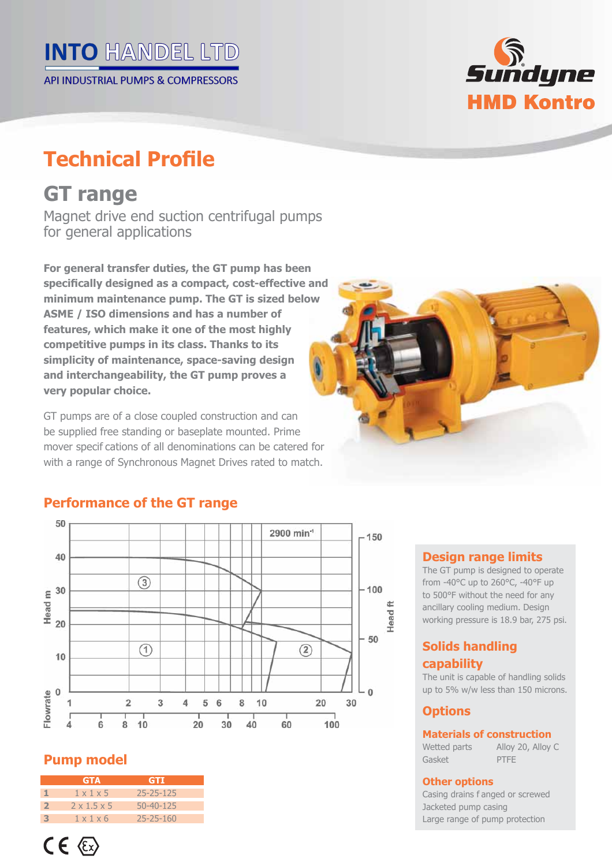# **INTO HANDEL LTD**

API INDUSTRIAL PUMPS & COMPRESSORS

# **Technical Profile**

# **GT range**

Magnet drive end suction centrifugal pumps for general applications

**For general transfer duties, the GT pump has been**  specifically designed as a compact, cost-effective and **minimum maintenance pump. The GT is sized below ASME / ISO dimensions and has a number of features, which make it one of the most highly competitive pumps in its class. Thanks to its simplicity of maintenance, space-saving design and interchangeability, the GT pump proves a very popular choice.**

GT pumps are of a close coupled construction and can be supplied free standing or baseplate mounted. Prime mover specif cations of all denominations can be catered for with a range of Synchronous Magnet Drives rated to match.



*Sundyne* 

**HMD Kontro** 

# **Performance of the GT range**



# **Pump model**

|                | <b>GTA</b>              | GTI             |  |
|----------------|-------------------------|-----------------|--|
|                | $1 \times 1 \times 5$   | 25-25-125       |  |
| $\overline{2}$ | $2 \times 1.5 \times 5$ | $50 - 40 - 125$ |  |
| З              | $1 \times 1 \times 6$   | $25 - 25 - 160$ |  |

#### **Design range limits**

The GT pump is designed to operate from -40°C up to 260°C, -40°F up to 500°F without the need for any ancillary cooling medium. Design working pressure is 18.9 bar, 275 psi.

### **Solids handling capability**

The unit is capable of handling solids up to 5% w/w less than 150 microns.

# **Options**

#### **Materials of construction**

Wetted parts Alloy 20, Alloy C Gasket PTFE

#### **Other options**

Casing drains f anged or screwed Jacketed pump casing Large range of pump protection

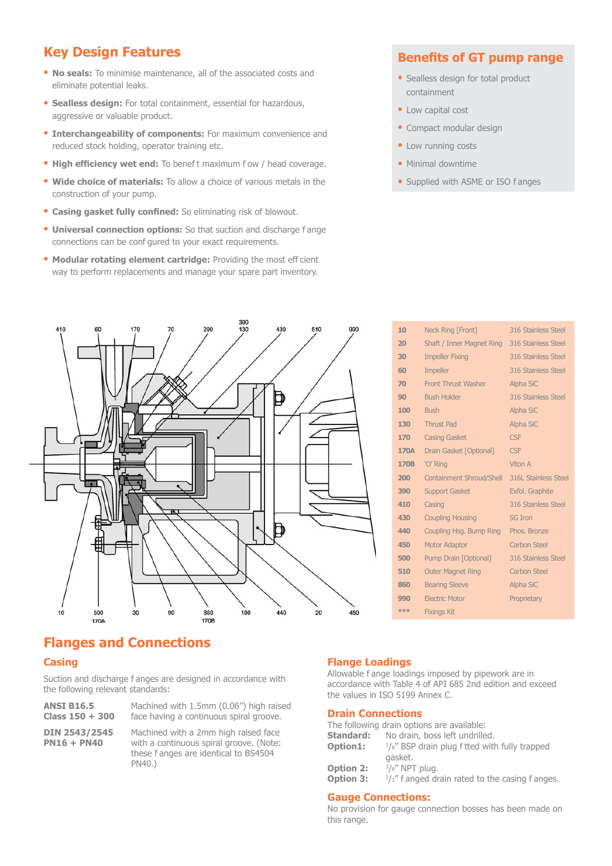# **Key Design Features**

- **No seals:** To minimise maintenance, all of the associated costs and eliminate potential leaks.
- **· Sealless design:** For total containment, essential for hazardous, aggressive or valuable product.
- **Interchangeability of components:** For maximum convenience and reduced stock holding, operator training etc.
- **High efficiency wet end:** To benef t maximum f ow / head coverage.
- **Wide choice of materials:** To allow a choice of various metals in the construction of your pump.
- **Casing gasket fully confined:** So eliminating risk of blowout.
- **Universal connection options:** So that suction and discharge f ange connections can be conf gured to your exact requirements.
- **Modular rotating element cartridge: Providing the most eff cient** way to perform replacements and manage your spare part inventory.

#### **Benefits of GT pump range**

- Sealless design for total product containment
- Low capital cost
- Compact modular design
- Low running costs
- Minimal downtime
- Supplied with ASME or ISO f anges



| 10          | <b>Neck Ring [Front]</b>         | 316 Stainless Steel         |
|-------------|----------------------------------|-----------------------------|
| 20          | <b>Shaft / Inner Magnet Ring</b> | 316 Stainless Steel         |
| 30          | <b>Impeller Fixing</b>           | 316 Stainless Steel         |
| 60          | <b>Impeller</b>                  | 316 Stainless Steel         |
| 70          | <b>Front Thrust Washer</b>       | <b>Alpha SiC</b>            |
| 90          | <b>Bush Holder</b>               | 316 Stainless Steel         |
| 100         | <b>Bush</b>                      | <b>Alpha SiC</b>            |
| 130         | <b>Thrust Pad</b>                | <b>Alpha SiC</b>            |
| 170         | <b>Casing Gasket</b>             | <b>CSF</b>                  |
| <b>170A</b> | Drain Gasket [Optional]          | <b>CSF</b>                  |
| <b>170B</b> | 'O' Ring                         | Viton A                     |
| 200         | <b>Containment Shroud/Shell</b>  | <b>316L Stainless Steel</b> |
| 390         | <b>Support Gasket</b>            | Exfol. Graphite             |
| 410         | Casing                           | 316 Stainless Steel         |
| 430         | <b>Coupling Housing</b>          | <b>SG Iron</b>              |
| 440         | Coupling Hsg. Bump Ring          | Phos. Bronze                |
| 450         | <b>Motor Adaptor</b>             | <b>Carbon Steel</b>         |
| 500         | Pump Drain [Optional]            | 316 Stainless Steel         |
| 510         | <b>Outer Magnet Ring</b>         | <b>Carbon Steel</b>         |
| 860         | <b>Bearing Sleeve</b>            | Alpha SiC                   |
| 990         | <b>Electric Motor</b>            | Proprietary                 |
| ***         | <b>Fixings Kit</b>               |                             |

### **Flanges and Connections**

#### **Casing**

Suction and discharge f anges are designed in accordance with the following relevant standards:

PN40.)

**ANSI B16.5** Machined with 1.5mm (0.06") high raised Class 150 + 300 face having a continuous spiral groove. face having a continuous spiral groove.

**DIN 2543/2545** Machined with a 2mm high raised face<br>**PN16 + PN40** with a continuous spiral groove. (Note: with a continuous spiral groove. (Note: these f anges are identical to BS4504

#### **Flange Loadings**

Allowable f ange loadings imposed by pipework are in accordance with Table 4 of API 685 2nd edition and exceed the values in ISO 5199 Annex C.

#### **Drain Connections**

|                  | The following drain options are available:                 |
|------------------|------------------------------------------------------------|
| Standard:        | No drain, boss left undrilled.                             |
| Option1:         | $\frac{1}{8}$ " BSP drain plug f tted with fully trapped   |
|                  | gasket.                                                    |
| <b>Option 2:</b> | $3/s''$ NPT plug.                                          |
| <b>Option 3:</b> | $\frac{1}{2}$ " f anged drain rated to the casing f anges. |
|                  |                                                            |

#### **Gauge Connections:**

No provision for gauge connection bosses has been made on this range.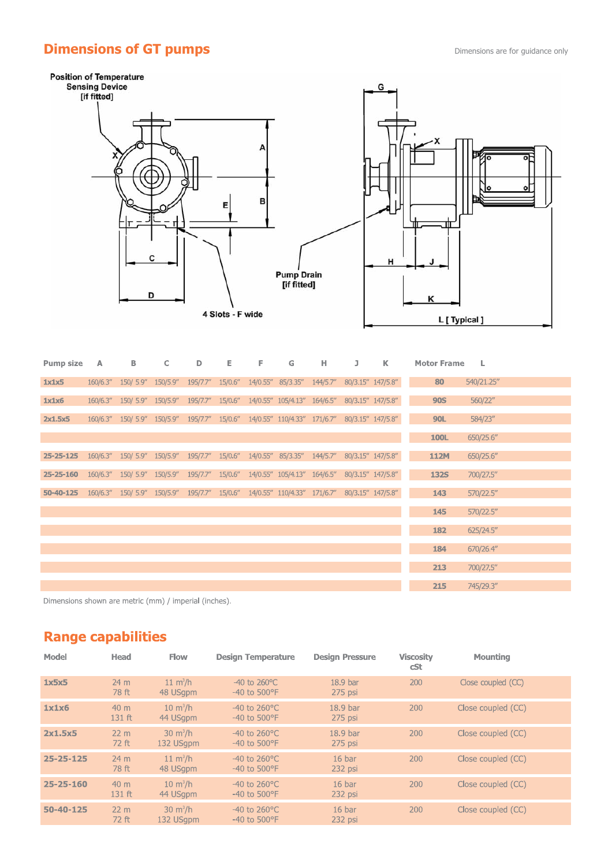# **Dimensions of GT pumps Dimensions are for guidance only**



| <b>Pump size</b> | $\mathbb{A}$ | B                                                                                          | C | D                | Е. | F. | G                          | н | J                 | K | <b>Motor Frame</b> | L          |
|------------------|--------------|--------------------------------------------------------------------------------------------|---|------------------|----|----|----------------------------|---|-------------------|---|--------------------|------------|
| 1x1x5            |              | 160/6.3" 150/ 5.9" 150/5.9"                                                                |   | 195/7.7" 15/0.6" |    |    | 14/0.55" 85/3.35" 144/5.7" |   | 80/3.15" 147/5.8" |   | 80                 | 540/21.25" |
| 1x1x6            |              | 160/6.3" 150/ 5.9" 150/5.9" 195/7.7" 15/0.6" 14/0.55" 105/4.13" 164/6.5" 80/3.15" 147/5.8" |   |                  |    |    |                            |   |                   |   | <b>90S</b>         | 560/22"    |
| 2x1.5x5          |              | 160/6.3" 150/ 5.9" 150/5.9" 195/7.7" 15/0.6" 14/0.55" 110/4.33" 171/6.7" 80/3.15" 147/5.8" |   |                  |    |    |                            |   |                   |   | <b>90L</b>         | 584/23"    |
|                  |              |                                                                                            |   |                  |    |    |                            |   |                   |   | <b>100L</b>        | 650/25.6"  |
| $25 - 25 - 125$  |              | 160/6.3" 150/ 5.9" 150/5.9" 195/7.7" 15/0.6" 14/0.55" 85/3.35" 144/5.7" 80/3.15" 147/5.8"  |   |                  |    |    |                            |   |                   |   | <b>112M</b>        | 650/25.6"  |
| $25 - 25 - 160$  |              | 160/6.3" 150/ 5.9" 150/5.9" 195/7.7" 15/0.6" 14/0.55" 105/4.13" 164/6.5" 80/3.15" 147/5.8" |   |                  |    |    |                            |   |                   |   | <b>132S</b>        | 700/27.5"  |
| 50-40-125        |              | 160/6.3" 150/ 5.9" 150/5.9" 195/7.7" 15/0.6" 14/0.55" 110/4.33" 171/6.7" 80/3.15" 147/5.8" |   |                  |    |    |                            |   |                   |   | 143                | 570/22.5"  |
|                  |              |                                                                                            |   |                  |    |    |                            |   |                   |   | 145                | 570/22.5"  |
|                  |              |                                                                                            |   |                  |    |    |                            |   |                   |   | 182                | 625/24.5'' |
|                  |              |                                                                                            |   |                  |    |    |                            |   |                   |   | 184                | 670/26.4"  |
|                  |              |                                                                                            |   |                  |    |    |                            |   |                   |   | 213                | 700/27.5"  |
|                  |              |                                                                                            |   |                  |    |    |                            |   |                   |   | 215                | 745/29.3"  |

Dimensions shown are metric (mm) / imperial (inches).

# **Range capabilities**

| <b>Model</b>    | Head                        | <b>Flow</b>                     | <b>Design Temperature</b>                            | <b>Design Pressure</b>           | <b>Viscosity</b><br>cSt | Mounting           |  |
|-----------------|-----------------------------|---------------------------------|------------------------------------------------------|----------------------------------|-------------------------|--------------------|--|
| 1x5x5           | 24 <sub>m</sub><br>78 ft    | $11 \text{ m}^3/h$<br>48 USqpm  | $-40$ to $260^{\circ}$ C<br>$-40$ to $500^{\circ}$ F | 18.9 <sub>bar</sub><br>$275$ psi | 200                     | Close coupled (CC) |  |
| 1x1x6           | 40 <sub>m</sub><br>131 ft   | $10 \text{ m}^3/h$<br>44 USqpm  | $-40$ to $260^{\circ}$ C<br>$-40$ to $500^{\circ}$ F | 18.9 bar<br>275 psi              | 200                     | Close coupled (CC) |  |
| 2x1.5x5         | $22 \text{ m}$<br>72 ft     | $30 \text{ m}^3/h$<br>132 USgpm | $-40$ to $260^{\circ}$ C<br>$-40$ to $500^{\circ}$ F | 18.9 bar<br>$275$ psi            | 200                     | Close coupled (CC) |  |
| $25 - 25 - 125$ | 24 <sub>m</sub><br>78 ft    | $11 \text{ m}^3/h$<br>48 USqpm  | $-40$ to 260 °C<br>$-40$ to $500^{\circ}$ F          | 16 <sub>bar</sub><br>232 psi     | 200                     | Close coupled (CC) |  |
| $25 - 25 - 160$ | 40 <sub>m</sub><br>$131$ ft | $10 \text{ m}^3/h$<br>44 USqpm  | $-40$ to $260^{\circ}$ C<br>$-40$ to $500^{\circ}$ F | 16 <sub>bar</sub><br>232 psi     | 200                     | Close coupled (CC) |  |
| $50 - 40 - 125$ | $22 \text{ m}$<br>72 ft     | $30 \text{ m}^3/h$<br>132 USapm | $-40$ to $260^{\circ}$ C<br>$-40$ to $500^{\circ}$ F | 16 <sub>bar</sub><br>232 psi     | 200                     | Close coupled (CC) |  |